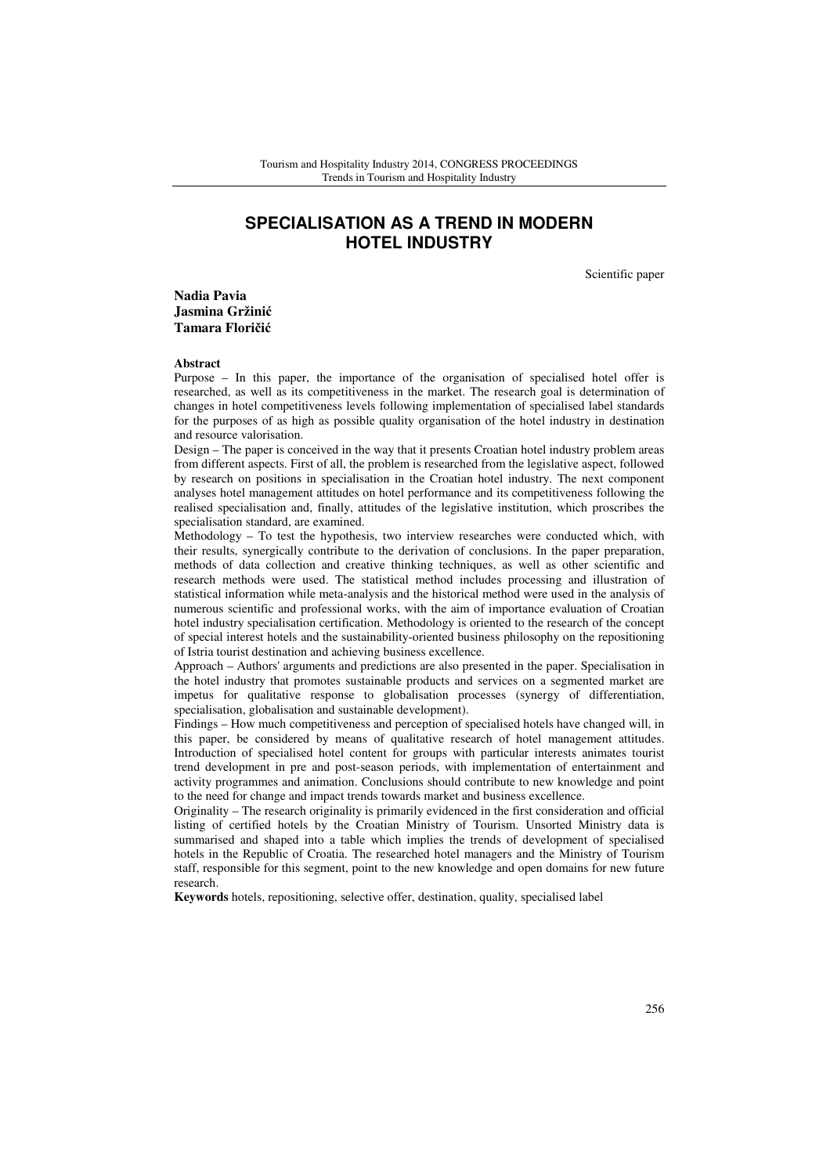# **SPECIALISATION AS A TREND IN MODERN HOTEL INDUSTRY**

Scientific paper

**Nadia Pavia Jasmina Gržini**ć **Tamara Flori**č**i**ć

#### **Abstract**

Purpose – In this paper, the importance of the organisation of specialised hotel offer is researched, as well as its competitiveness in the market. The research goal is determination of changes in hotel competitiveness levels following implementation of specialised label standards for the purposes of as high as possible quality organisation of the hotel industry in destination and resource valorisation.

Design – The paper is conceived in the way that it presents Croatian hotel industry problem areas from different aspects. First of all, the problem is researched from the legislative aspect, followed by research on positions in specialisation in the Croatian hotel industry. The next component analyses hotel management attitudes on hotel performance and its competitiveness following the realised specialisation and, finally, attitudes of the legislative institution, which proscribes the specialisation standard, are examined.

Methodology – To test the hypothesis, two interview researches were conducted which, with their results, synergically contribute to the derivation of conclusions. In the paper preparation, methods of data collection and creative thinking techniques, as well as other scientific and research methods were used. The statistical method includes processing and illustration of statistical information while meta-analysis and the historical method were used in the analysis of numerous scientific and professional works, with the aim of importance evaluation of Croatian hotel industry specialisation certification. Methodology is oriented to the research of the concept of special interest hotels and the sustainability-oriented business philosophy on the repositioning of Istria tourist destination and achieving business excellence.

Approach – Authors' arguments and predictions are also presented in the paper. Specialisation in the hotel industry that promotes sustainable products and services on a segmented market are impetus for qualitative response to globalisation processes (synergy of differentiation, specialisation, globalisation and sustainable development).

Findings – How much competitiveness and perception of specialised hotels have changed will, in this paper, be considered by means of qualitative research of hotel management attitudes. Introduction of specialised hotel content for groups with particular interests animates tourist trend development in pre and post-season periods, with implementation of entertainment and activity programmes and animation. Conclusions should contribute to new knowledge and point to the need for change and impact trends towards market and business excellence.

Originality – The research originality is primarily evidenced in the first consideration and official listing of certified hotels by the Croatian Ministry of Tourism. Unsorted Ministry data is summarised and shaped into a table which implies the trends of development of specialised hotels in the Republic of Croatia. The researched hotel managers and the Ministry of Tourism staff, responsible for this segment, point to the new knowledge and open domains for new future research.

**Keywords** hotels, repositioning, selective offer, destination, quality, specialised label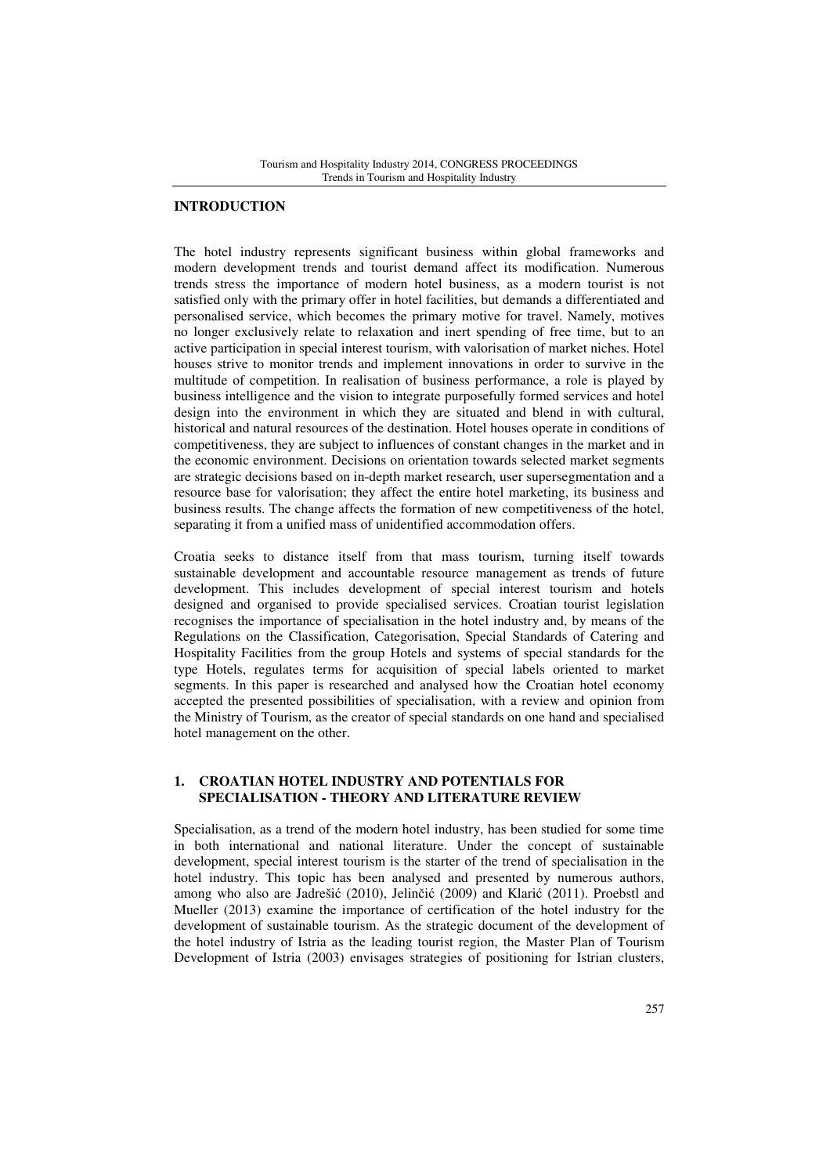# **INTRODUCTION**

The hotel industry represents significant business within global frameworks and modern development trends and tourist demand affect its modification. Numerous trends stress the importance of modern hotel business, as a modern tourist is not satisfied only with the primary offer in hotel facilities, but demands a differentiated and personalised service, which becomes the primary motive for travel. Namely, motives no longer exclusively relate to relaxation and inert spending of free time, but to an active participation in special interest tourism, with valorisation of market niches. Hotel houses strive to monitor trends and implement innovations in order to survive in the multitude of competition. In realisation of business performance, a role is played by business intelligence and the vision to integrate purposefully formed services and hotel design into the environment in which they are situated and blend in with cultural, historical and natural resources of the destination. Hotel houses operate in conditions of competitiveness, they are subject to influences of constant changes in the market and in the economic environment. Decisions on orientation towards selected market segments are strategic decisions based on in-depth market research, user supersegmentation and a resource base for valorisation; they affect the entire hotel marketing, its business and business results. The change affects the formation of new competitiveness of the hotel, separating it from a unified mass of unidentified accommodation offers.

Croatia seeks to distance itself from that mass tourism, turning itself towards sustainable development and accountable resource management as trends of future development. This includes development of special interest tourism and hotels designed and organised to provide specialised services. Croatian tourist legislation recognises the importance of specialisation in the hotel industry and, by means of the Regulations on the Classification, Categorisation, Special Standards of Catering and Hospitality Facilities from the group Hotels and systems of special standards for the type Hotels, regulates terms for acquisition of special labels oriented to market segments. In this paper is researched and analysed how the Croatian hotel economy accepted the presented possibilities of specialisation, with a review and opinion from the Ministry of Tourism, as the creator of special standards on one hand and specialised hotel management on the other.

# **1. CROATIAN HOTEL INDUSTRY AND POTENTIALS FOR SPECIALISATION - THEORY AND LITERATURE REVIEW**

Specialisation, as a trend of the modern hotel industry, has been studied for some time in both international and national literature. Under the concept of sustainable development, special interest tourism is the starter of the trend of specialisation in the hotel industry. This topic has been analysed and presented by numerous authors, among who also are Jadrešić (2010), Jelinčić (2009) and Klarić (2011). Proebstl and Mueller (2013) examine the importance of certification of the hotel industry for the development of sustainable tourism. As the strategic document of the development of the hotel industry of Istria as the leading tourist region, the Master Plan of Tourism Development of Istria (2003) envisages strategies of positioning for Istrian clusters,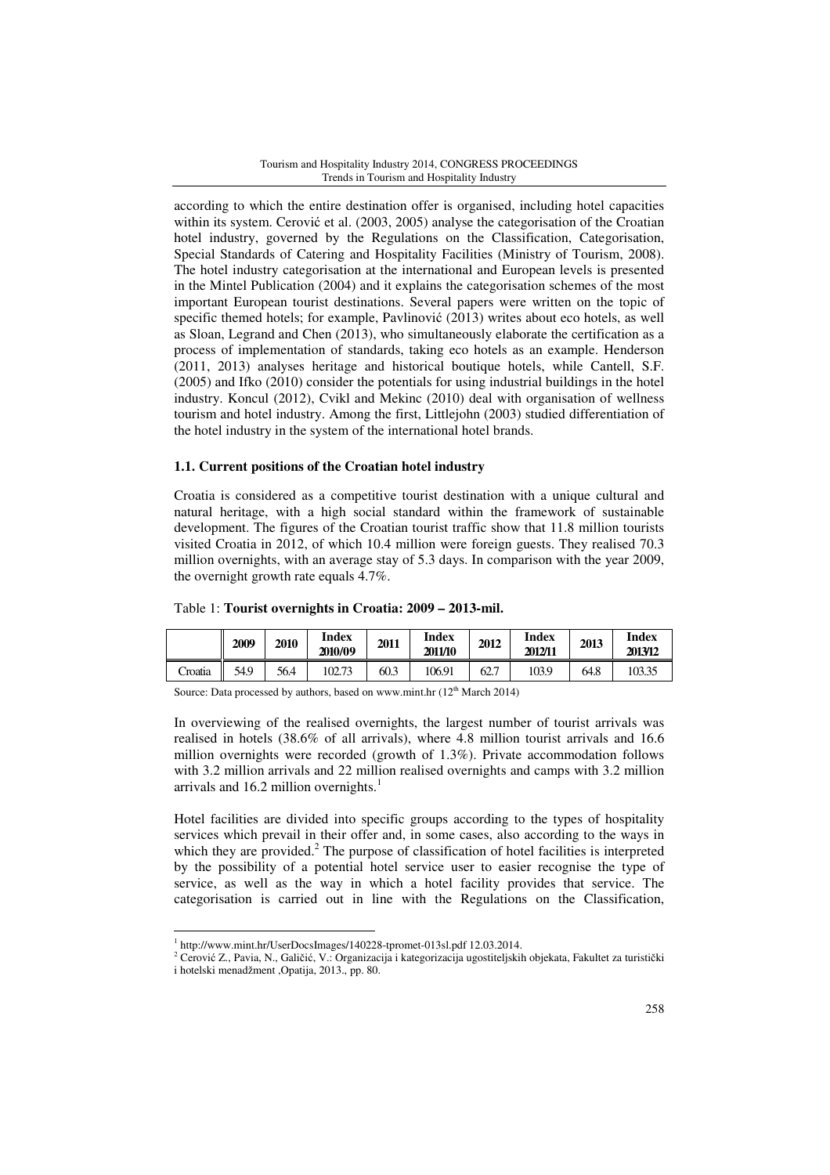according to which the entire destination offer is organised, including hotel capacities within its system. Cerović et al. (2003, 2005) analyse the categorisation of the Croatian hotel industry, governed by the Regulations on the Classification, Categorisation, Special Standards of Catering and Hospitality Facilities (Ministry of Tourism, 2008). The hotel industry categorisation at the international and European levels is presented in the Mintel Publication (2004) and it explains the categorisation schemes of the most important European tourist destinations. Several papers were written on the topic of specific themed hotels; for example, Pavlinović (2013) writes about eco hotels, as well as Sloan, Legrand and Chen (2013), who simultaneously elaborate the certification as a process of implementation of standards, taking eco hotels as an example. Henderson (2011, 2013) analyses heritage and historical boutique hotels, while Cantell, S.F. (2005) and Ifko (2010) consider the potentials for using industrial buildings in the hotel industry. Koncul (2012), Cvikl and Mekinc (2010) deal with organisation of wellness tourism and hotel industry. Among the first, Littlejohn (2003) studied differentiation of the hotel industry in the system of the international hotel brands.

# **1.1. Current positions of the Croatian hotel industry**

Croatia is considered as a competitive tourist destination with a unique cultural and natural heritage, with a high social standard within the framework of sustainable development. The figures of the Croatian tourist traffic show that 11.8 million tourists visited Croatia in 2012, of which 10.4 million were foreign guests. They realised 70.3 million overnights, with an average stay of 5.3 days. In comparison with the year 2009, the overnight growth rate equals 4.7%.

|         | 2009      | 2010 | <b>Index</b><br>2010/09 | 2011 | <b>Index</b><br>2011/10 | 2012 | <b>Index</b><br>2012/11 | 2013 | <b>Index</b><br>2013/12 |
|---------|-----------|------|-------------------------|------|-------------------------|------|-------------------------|------|-------------------------|
| Croatia | I<br>54.9 | 56.4 | 102.73                  | 60.3 | 106.91                  | 62.7 | 103.9                   | 64.8 | 103.35                  |

### Table 1: **Tourist overnights in Croatia: 2009 – 2013-mil.**

Source: Data processed by authors, based on www.mint.hr  $(12<sup>th</sup> March 2014)$ 

In overviewing of the realised overnights, the largest number of tourist arrivals was realised in hotels (38.6% of all arrivals), where 4.8 million tourist arrivals and 16.6 million overnights were recorded (growth of 1.3%). Private accommodation follows with 3.2 million arrivals and 22 million realised overnights and camps with 3.2 million arrivals and  $16.2$  million overnights.<sup>1</sup>

Hotel facilities are divided into specific groups according to the types of hospitality services which prevail in their offer and, in some cases, also according to the ways in which they are provided.<sup>2</sup> The purpose of classification of hotel facilities is interpreted by the possibility of a potential hotel service user to easier recognise the type of service, as well as the way in which a hotel facility provides that service. The categorisation is carried out in line with the Regulations on the Classification,

<sup>1</sup> http://www.mint.hr/UserDocsImages/140228-tpromet-013sl.pdf 12.03.2014.

<sup>&</sup>lt;sup>2</sup> Cerović Z., Pavia, N., Galičić, V.: Organizacija i kategorizacija ugostiteljskih objekata, Fakultet za turistički i hotelski menadžment ,Opatija, 2013., pp. 80.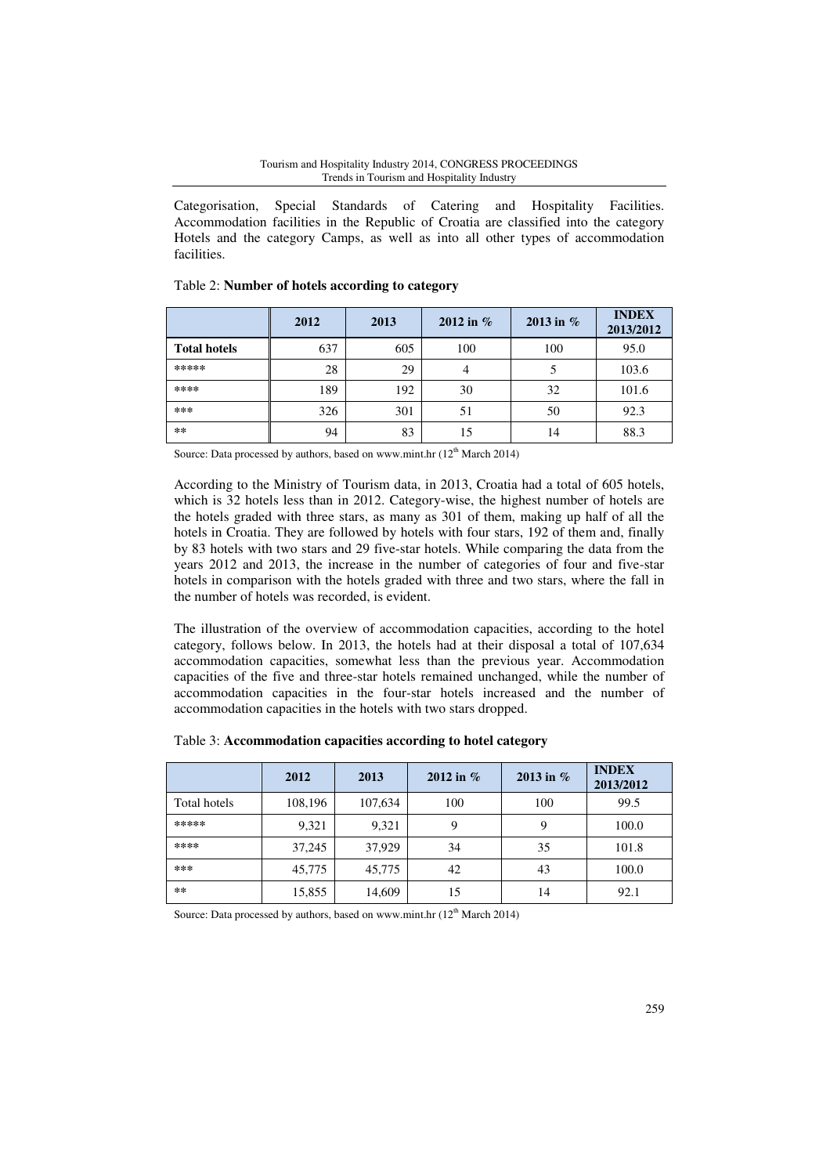Categorisation, Special Standards of Catering and Hospitality Facilities. Accommodation facilities in the Republic of Croatia are classified into the category Hotels and the category Camps, as well as into all other types of accommodation facilities.

|                     | 2012 | 2013 | 2012 in $%$ | 2013 in $%$ | <b>INDEX</b><br>2013/2012 |
|---------------------|------|------|-------------|-------------|---------------------------|
| <b>Total hotels</b> | 637  | 605  | 100         | 100         | 95.0                      |
| *****               | 28   | 29   |             |             | 103.6                     |
| ****                | 189  | 192  | 30          | 32          | 101.6                     |
| ***                 | 326  | 301  | 51          | 50          | 92.3                      |
| **                  | 94   | 83   | 15          | 14          | 88.3                      |

# Table 2: **Number of hotels according to category**

Source: Data processed by authors, based on www.mint.hr  $(12<sup>th</sup> March 2014)$ 

According to the Ministry of Tourism data, in 2013, Croatia had a total of 605 hotels, which is 32 hotels less than in 2012. Category-wise, the highest number of hotels are the hotels graded with three stars, as many as 301 of them, making up half of all the hotels in Croatia. They are followed by hotels with four stars, 192 of them and, finally by 83 hotels with two stars and 29 five-star hotels. While comparing the data from the years 2012 and 2013, the increase in the number of categories of four and five-star hotels in comparison with the hotels graded with three and two stars, where the fall in the number of hotels was recorded, is evident.

The illustration of the overview of accommodation capacities, according to the hotel category, follows below. In 2013, the hotels had at their disposal a total of 107,634 accommodation capacities, somewhat less than the previous year. Accommodation capacities of the five and three-star hotels remained unchanged, while the number of accommodation capacities in the four-star hotels increased and the number of accommodation capacities in the hotels with two stars dropped.

|              | 2012    | 2013    | 2012 in $%$ | 2013 in $%$ | <b>INDEX</b><br>2013/2012 |
|--------------|---------|---------|-------------|-------------|---------------------------|
| Total hotels | 108,196 | 107,634 | 100         | 100         | 99.5                      |
| *****        | 9,321   | 9,321   | 9           | 9           | 100.0                     |
| ****         | 37,245  | 37,929  | 34          | 35          | 101.8                     |
| ***          | 45,775  | 45,775  | 42          | 43          | 100.0                     |
| **           | 15,855  | 14,609  | 15          | 14          | 92.1                      |

### Table 3: **Accommodation capacities according to hotel category**

Source: Data processed by authors, based on www.mint.hr (12<sup>th</sup> March 2014)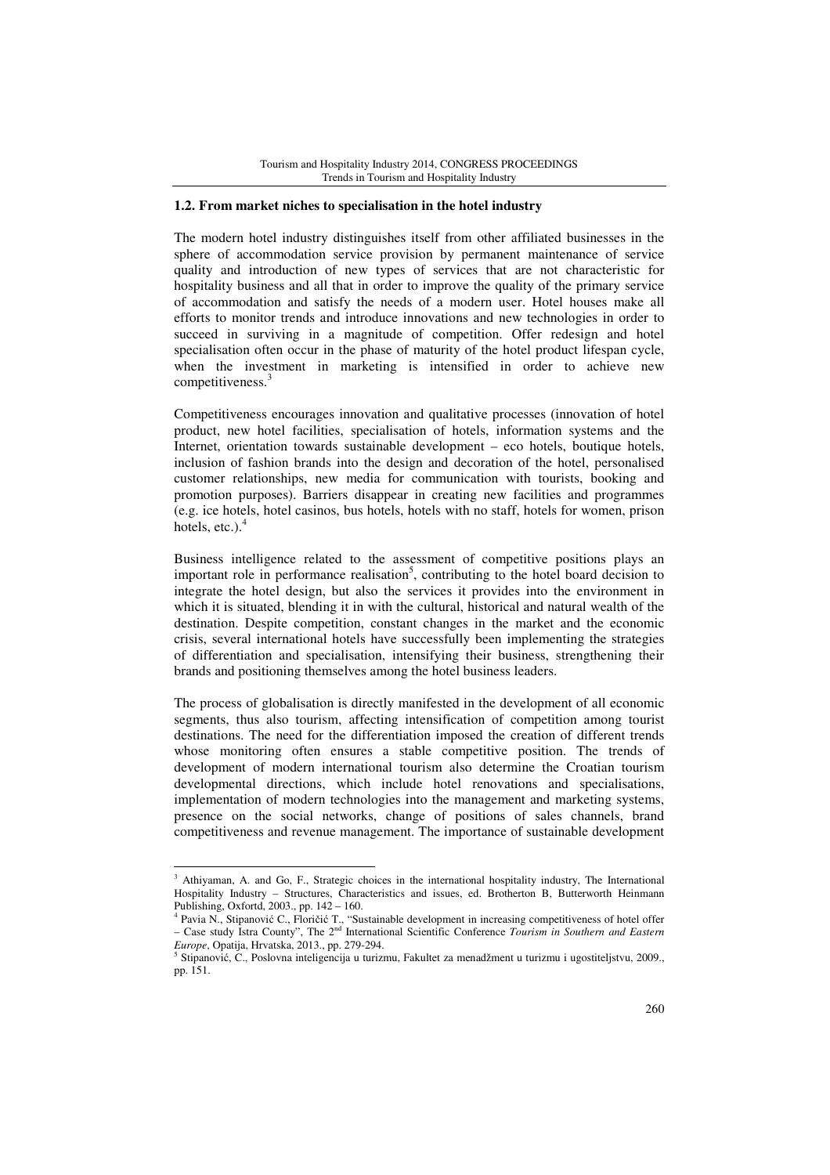### **1.2. From market niches to specialisation in the hotel industry**

The modern hotel industry distinguishes itself from other affiliated businesses in the sphere of accommodation service provision by permanent maintenance of service quality and introduction of new types of services that are not characteristic for hospitality business and all that in order to improve the quality of the primary service of accommodation and satisfy the needs of a modern user. Hotel houses make all efforts to monitor trends and introduce innovations and new technologies in order to succeed in surviving in a magnitude of competition. Offer redesign and hotel specialisation often occur in the phase of maturity of the hotel product lifespan cycle, when the investment in marketing is intensified in order to achieve new competitiveness.<sup>3</sup>

Competitiveness encourages innovation and qualitative processes (innovation of hotel product, new hotel facilities, specialisation of hotels, information systems and the Internet, orientation towards sustainable development – eco hotels, boutique hotels, inclusion of fashion brands into the design and decoration of the hotel, personalised customer relationships, new media for communication with tourists, booking and promotion purposes). Barriers disappear in creating new facilities and programmes (e.g. ice hotels, hotel casinos, bus hotels, hotels with no staff, hotels for women, prison hotels, etc.). $<sup>4</sup>$ </sup>

Business intelligence related to the assessment of competitive positions plays an important role in performance realisation<sup>5</sup>, contributing to the hotel board decision to integrate the hotel design, but also the services it provides into the environment in which it is situated, blending it in with the cultural, historical and natural wealth of the destination. Despite competition, constant changes in the market and the economic crisis, several international hotels have successfully been implementing the strategies of differentiation and specialisation, intensifying their business, strengthening their brands and positioning themselves among the hotel business leaders.

The process of globalisation is directly manifested in the development of all economic segments, thus also tourism, affecting intensification of competition among tourist destinations. The need for the differentiation imposed the creation of different trends whose monitoring often ensures a stable competitive position. The trends of development of modern international tourism also determine the Croatian tourism developmental directions, which include hotel renovations and specialisations, implementation of modern technologies into the management and marketing systems, presence on the social networks, change of positions of sales channels, brand competitiveness and revenue management. The importance of sustainable development

<sup>&</sup>lt;sup>3</sup> Athiyaman, A. and Go, F., Strategic choices in the international hospitality industry, The International Hospitality Industry – Structures, Characteristics and issues, ed. Brotherton B, Butterworth Heinmann Publishing, Oxfortd, 2003., pp. 142 – 160.

<sup>4</sup> Pavia N., Stipanović C., Floričić T., "Sustainable development in increasing competitiveness of hotel offer – Case study Istra County", The 2nd International Scientific Conference *Tourism in Southern and Eastern Europe*, Opatija, Hrvatska, 2013., pp. 279-294.

<sup>5</sup> Stipanović, C., Poslovna inteligencija u turizmu, Fakultet za menadžment u turizmu i ugostiteljstvu, 2009., pp. 151.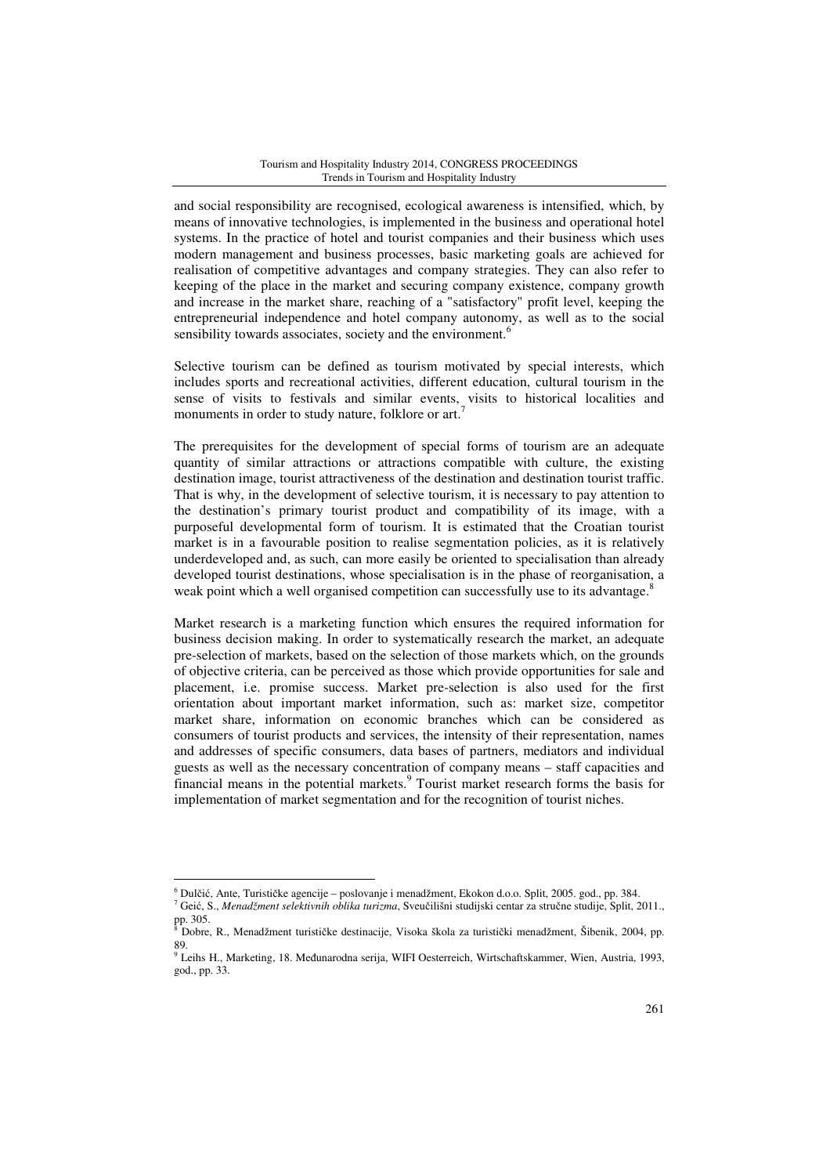and social responsibility are recognised, ecological awareness is intensified, which, by means of innovative technologies, is implemented in the business and operational hotel systems. In the practice of hotel and tourist companies and their business which uses modern management and business processes, basic marketing goals are achieved for realisation of competitive advantages and company strategies. They can also refer to keeping of the place in the market and securing company existence, company growth and increase in the market share, reaching of a "satisfactory" profit level, keeping the entrepreneurial independence and hotel company autonomy, as well as to the social sensibility towards associates, society and the environment.<sup>6</sup>

Selective tourism can be defined as tourism motivated by special interests, which includes sports and recreational activities, different education, cultural tourism in the sense of visits to festivals and similar events, visits to historical localities and monuments in order to study nature, folklore or art.<sup>7</sup>

The prerequisites for the development of special forms of tourism are an adequate quantity of similar attractions or attractions compatible with culture, the existing destination image, tourist attractiveness of the destination and destination tourist traffic. That is why, in the development of selective tourism, it is necessary to pay attention to the destination's primary tourist product and compatibility of its image, with a purposeful developmental form of tourism. It is estimated that the Croatian tourist market is in a favourable position to realise segmentation policies, as it is relatively underdeveloped and, as such, can more easily be oriented to specialisation than already developed tourist destinations, whose specialisation is in the phase of reorganisation, a weak point which a well organised competition can successfully use to its advantage.<sup>8</sup>

Market research is a marketing function which ensures the required information for business decision making. In order to systematically research the market, an adequate pre-selection of markets, based on the selection of those markets which, on the grounds of objective criteria, can be perceived as those which provide opportunities for sale and placement, i.e. promise success. Market pre-selection is also used for the first orientation about important market information, such as: market size, competitor market share, information on economic branches which can be considered as consumers of tourist products and services, the intensity of their representation, names and addresses of specific consumers, data bases of partners, mediators and individual guests as well as the necessary concentration of company means – staff capacities and financial means in the potential markets.<sup>9</sup> Tourist market research forms the basis for implementation of market segmentation and for the recognition of tourist niches.

<sup>6</sup> Dulčić, Ante, Turističke agencije – poslovanje i menadžment, Ekokon d.o.o. Split, 2005. god., pp. 384.

<sup>7</sup> Geić, S., *Menadžment selektivnih oblika turizma*, Sveučilišni studijski centar za stručne studije, Split, 2011., pp. 305.<br><sup>8</sup> Debre

Dobre, R., Menadžment turističke destinacije, Visoka škola za turistički menadžment, Šibenik, 2004, pp. 89.

<sup>9</sup> Leihs H., Marketing, 18. Međunarodna serija, WIFI Oesterreich, Wirtschaftskammer, Wien, Austria, 1993, god., pp. 33.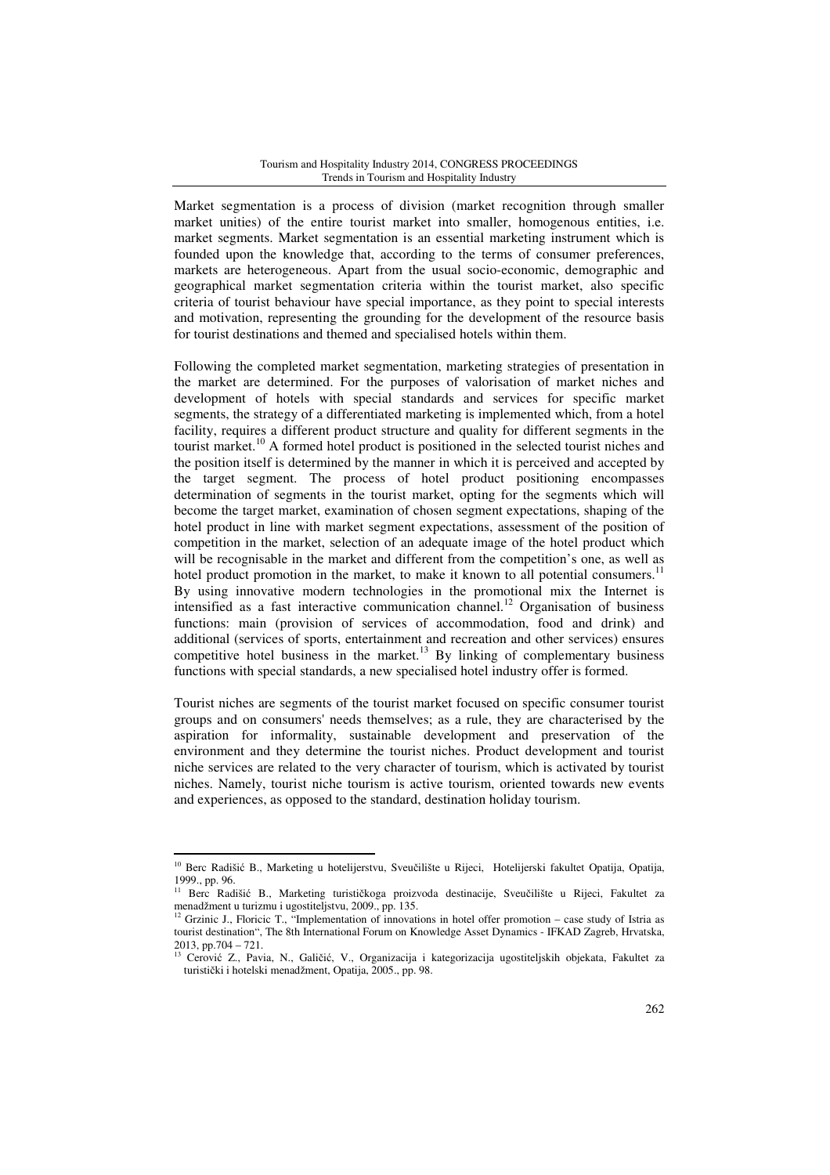Market segmentation is a process of division (market recognition through smaller market unities) of the entire tourist market into smaller, homogenous entities, i.e. market segments. Market segmentation is an essential marketing instrument which is founded upon the knowledge that, according to the terms of consumer preferences, markets are heterogeneous. Apart from the usual socio-economic, demographic and geographical market segmentation criteria within the tourist market, also specific criteria of tourist behaviour have special importance, as they point to special interests and motivation, representing the grounding for the development of the resource basis for tourist destinations and themed and specialised hotels within them.

Following the completed market segmentation, marketing strategies of presentation in the market are determined. For the purposes of valorisation of market niches and development of hotels with special standards and services for specific market segments, the strategy of a differentiated marketing is implemented which, from a hotel facility, requires a different product structure and quality for different segments in the tourist market.<sup>10</sup> A formed hotel product is positioned in the selected tourist niches and the position itself is determined by the manner in which it is perceived and accepted by the target segment. The process of hotel product positioning encompasses determination of segments in the tourist market, opting for the segments which will become the target market, examination of chosen segment expectations, shaping of the hotel product in line with market segment expectations, assessment of the position of competition in the market, selection of an adequate image of the hotel product which will be recognisable in the market and different from the competition's one, as well as hotel product promotion in the market, to make it known to all potential consumers.<sup>11</sup> By using innovative modern technologies in the promotional mix the Internet is intensified as a fast interactive communication channel.<sup>12</sup> Organisation of business functions: main (provision of services of accommodation, food and drink) and additional (services of sports, entertainment and recreation and other services) ensures competitive hotel business in the market.<sup>13</sup> By linking of complementary business functions with special standards, a new specialised hotel industry offer is formed.

Tourist niches are segments of the tourist market focused on specific consumer tourist groups and on consumers' needs themselves; as a rule, they are characterised by the aspiration for informality, sustainable development and preservation of the environment and they determine the tourist niches. Product development and tourist niche services are related to the very character of tourism, which is activated by tourist niches. Namely, tourist niche tourism is active tourism, oriented towards new events and experiences, as opposed to the standard, destination holiday tourism.

<sup>&</sup>lt;sup>10</sup> Berc Radišić B., Marketing u hotelijerstvu, Sveučilište u Rijeci, Hotelijerski fakultet Opatija, Opatija, 1999., pp. 96.

<sup>&</sup>lt;sup>11</sup> Berc Radišić B., Marketing turističkoga proizvoda destinacije, Sveučilište u Rijeci, Fakultet za menadžment u turizmu i ugostiteljstvu, 2009., pp. 135.

<sup>12</sup> Grzinic J., Floricic T., "Implementation of innovations in hotel offer promotion – case study of Istria as tourist destination", The 8th International Forum on Knowledge Asset Dynamics - IFKAD Zagreb, Hrvatska, 2013, pp.704 – 721.

<sup>13</sup> Cerović Z., Pavia, N., Galičić, V., Organizacija i kategorizacija ugostiteljskih objekata, Fakultet za turistički i hotelski menadžment, Opatija, 2005., pp. 98.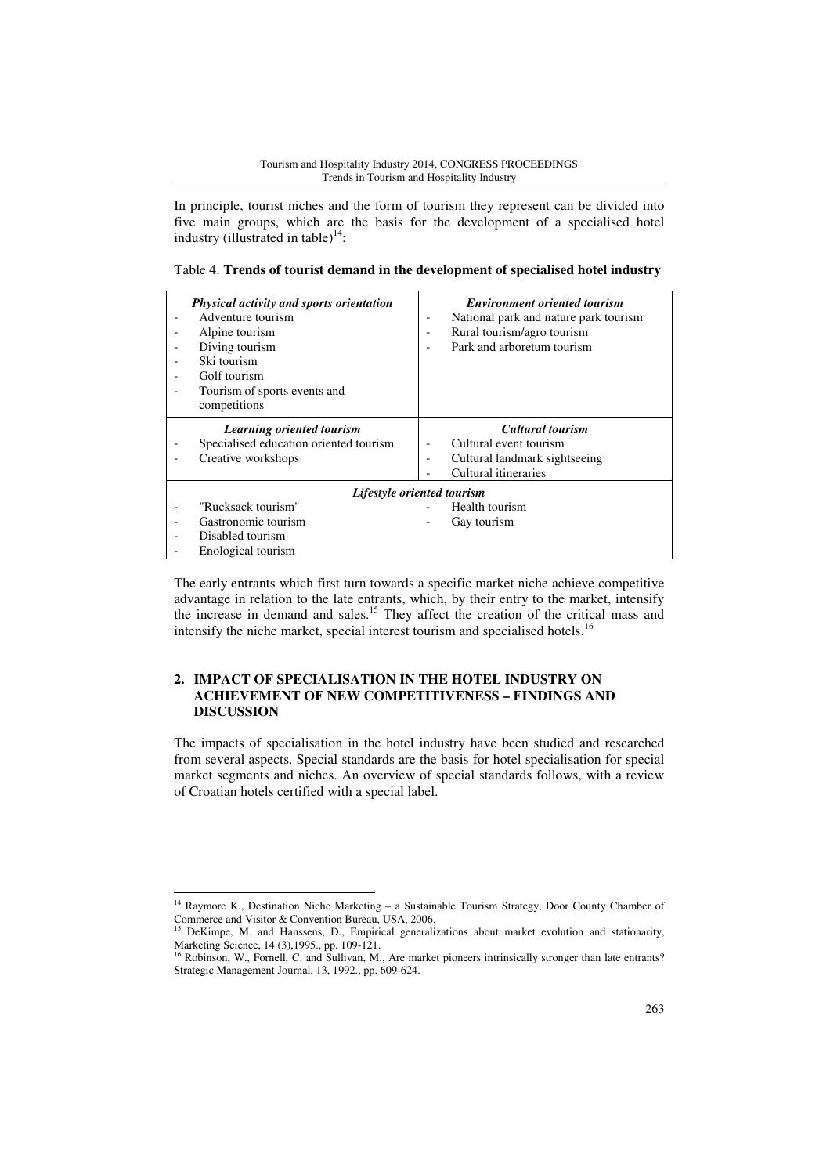In principle, tourist niches and the form of tourism they represent can be divided into five main groups, which are the basis for the development of a specialised hotel industry (illustrated in table)<sup>14</sup>:

|  |  |  |  | Table 4. Trends of tourist demand in the development of specialised hotel industry |
|--|--|--|--|------------------------------------------------------------------------------------|
|--|--|--|--|------------------------------------------------------------------------------------|

| ٠ | Physical activity and sports orientation<br>Adventure tourism<br>Alpine tourism<br>Diving tourism<br>Ski tourism<br>Golf tourism<br>Tourism of sports events and<br>competitions | <b>Environment oriented tourism</b><br>National park and nature park tourism<br>۰<br>Rural tourism/agro tourism<br>Park and arboretum tourism |  |
|---|----------------------------------------------------------------------------------------------------------------------------------------------------------------------------------|-----------------------------------------------------------------------------------------------------------------------------------------------|--|
|   | Learning oriented tourism<br>Specialised education oriented tourism<br>Creative workshops                                                                                        | <b>Cultural tourism</b><br>Cultural event tourism<br>Cultural landmark sightseeing<br>٠<br>Cultural itineraries                               |  |
|   |                                                                                                                                                                                  | Lifestyle oriented tourism                                                                                                                    |  |
|   | "Rucksack tourism"<br>Gastronomic tourism<br>Disabled tourism<br>Enological tourism                                                                                              | Health tourism<br>Gay tourism                                                                                                                 |  |

The early entrants which first turn towards a specific market niche achieve competitive advantage in relation to the late entrants, which, by their entry to the market, intensify the increase in demand and sales.<sup>15</sup> They affect the creation of the critical mass and intensify the niche market, special interest tourism and specialised hotels.<sup>16</sup>

# **2. IMPACT OF SPECIALISATION IN THE HOTEL INDUSTRY ON ACHIEVEMENT OF NEW COMPETITIVENESS – FINDINGS AND DISCUSSION**

The impacts of specialisation in the hotel industry have been studied and researched from several aspects. Special standards are the basis for hotel specialisation for special market segments and niches. An overview of special standards follows, with a review of Croatian hotels certified with a special label.

l

<sup>&</sup>lt;sup>14</sup> Raymore K., Destination Niche Marketing - a Sustainable Tourism Strategy, Door County Chamber of Commerce and Visitor & Convention Bureau, USA, 2006.

<sup>15</sup> DeKimpe, M. and Hanssens, D., Empirical generalizations about market evolution and stationarity, Marketing Science, 14 (3),1995., pp. 109-121.

<sup>&</sup>lt;sup>16</sup> Robinson, W., Fornell, C. and Sullivan, M., Are market pioneers intrinsically stronger than late entrants? Strategic Management Journal, 13, 1992., pp. 609-624.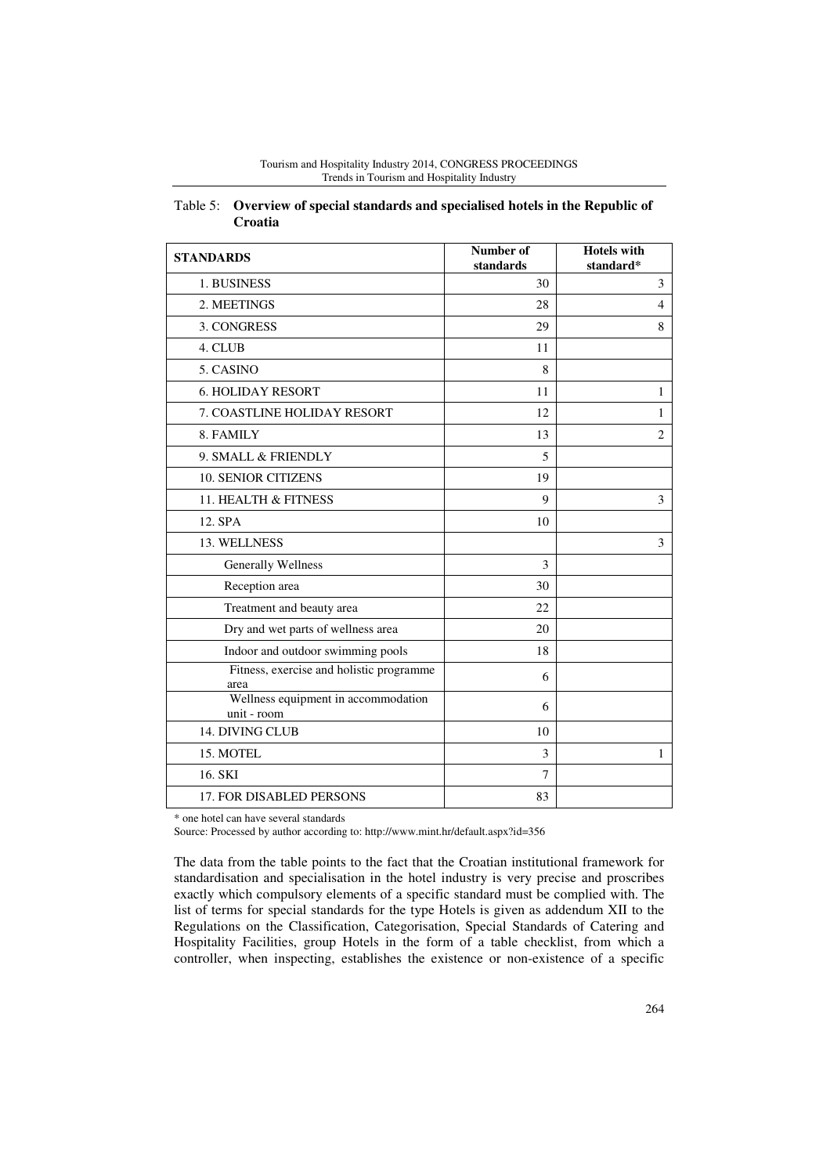| Tourism and Hospitality Industry 2014, CONGRESS PROCEEDINGS |
|-------------------------------------------------------------|
| Trends in Tourism and Hospitality Industry                  |

| <b>STANDARDS</b>                                   | Number of<br>standards | <b>Hotels</b> with<br>standard* |
|----------------------------------------------------|------------------------|---------------------------------|
| 1. BUSINESS                                        | 30                     | 3                               |
| 2. MEETINGS                                        | 28                     | $\overline{4}$                  |
| 3. CONGRESS                                        | 29                     | 8                               |
| 4. CLUB                                            | 11                     |                                 |
| 5. CASINO                                          | 8                      |                                 |
| <b>6. HOLIDAY RESORT</b>                           | 11                     | 1                               |
| 7. COASTLINE HOLIDAY RESORT                        | 12                     | 1                               |
| 8. FAMILY                                          | 13                     | $\overline{2}$                  |
| 9. SMALL & FRIENDLY                                | 5                      |                                 |
| <b>10. SENIOR CITIZENS</b>                         | 19                     |                                 |
| 11. HEALTH & FITNESS                               | 9                      | 3                               |
| 12. SPA                                            | 10                     |                                 |
| 13. WELLNESS                                       |                        | 3                               |
| <b>Generally Wellness</b>                          | 3                      |                                 |
| Reception area                                     | 30                     |                                 |
| Treatment and beauty area                          | 22.                    |                                 |
| Dry and wet parts of wellness area                 | 20                     |                                 |
| Indoor and outdoor swimming pools                  | 18                     |                                 |
| Fitness, exercise and holistic programme<br>area   | 6                      |                                 |
| Wellness equipment in accommodation<br>unit - room | 6                      |                                 |
| <b>14. DIVING CLUB</b>                             | 10                     |                                 |
| 15. MOTEL                                          | 3                      | 1                               |
| 16. SKI                                            | 7                      |                                 |
| <b>17. FOR DISABLED PERSONS</b>                    | 83                     |                                 |

| Table 5: Overview of special standards and specialised hotels in the Republic of |
|----------------------------------------------------------------------------------|
| <b>Croatia</b>                                                                   |

\* one hotel can have several standards

Source: Processed by author according to: http://www.mint.hr/default.aspx?id=356

The data from the table points to the fact that the Croatian institutional framework for standardisation and specialisation in the hotel industry is very precise and proscribes exactly which compulsory elements of a specific standard must be complied with. The list of terms for special standards for the type Hotels is given as addendum XII to the Regulations on the Classification, Categorisation, Special Standards of Catering and Hospitality Facilities, group Hotels in the form of a table checklist, from which a controller, when inspecting, establishes the existence or non-existence of a specific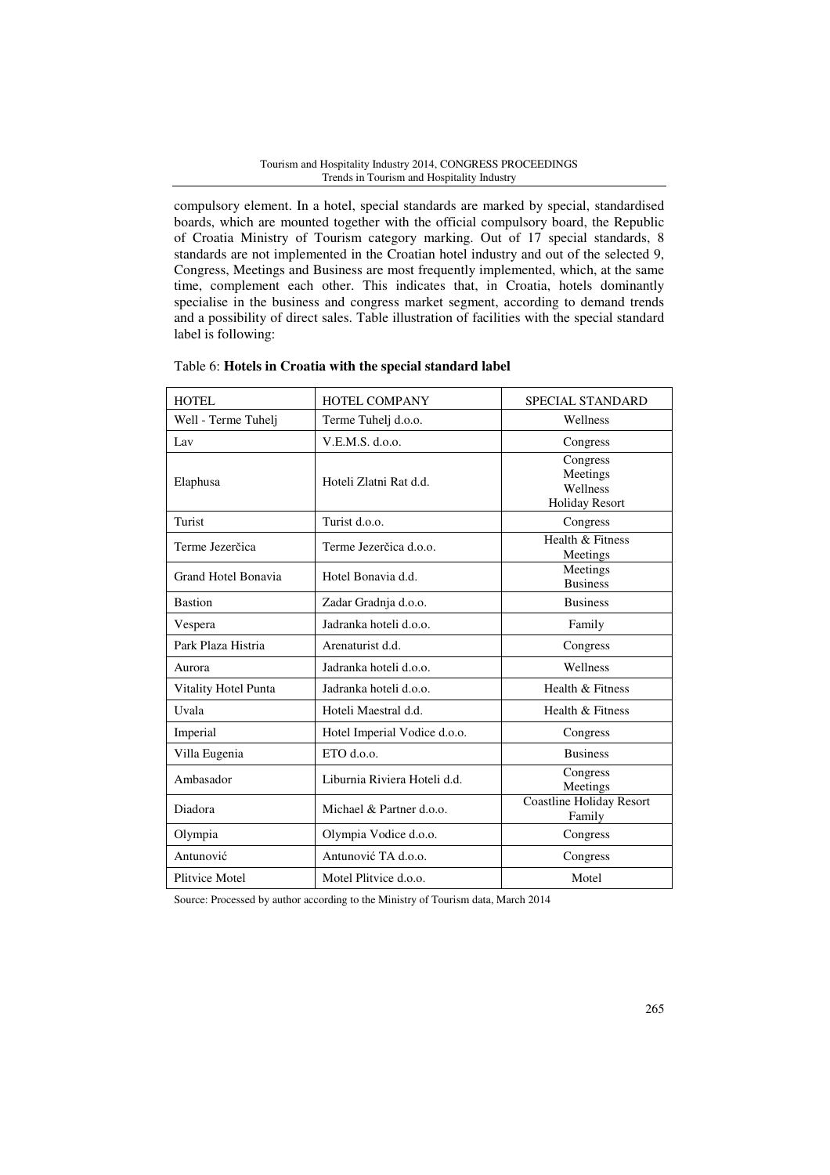compulsory element. In a hotel, special standards are marked by special, standardised boards, which are mounted together with the official compulsory board, the Republic of Croatia Ministry of Tourism category marking. Out of 17 special standards, 8 standards are not implemented in the Croatian hotel industry and out of the selected 9, Congress, Meetings and Business are most frequently implemented, which, at the same time, complement each other. This indicates that, in Croatia, hotels dominantly specialise in the business and congress market segment, according to demand trends and a possibility of direct sales. Table illustration of facilities with the special standard label is following:

| <b>HOTEL</b>         | HOTEL COMPANY                | SPECIAL STANDARD                                          |
|----------------------|------------------------------|-----------------------------------------------------------|
| Well - Terme Tuhelj  | Terme Tuhelj d.o.o.          | Wellness                                                  |
| Lav                  | V.E.M.S. d.o.o.              | Congress                                                  |
| Elaphusa             | Hoteli Zlatni Rat d.d.       | Congress<br>Meetings<br>Wellness<br><b>Holiday Resort</b> |
| Turist               | Turist d.o.o.                | Congress                                                  |
| Terme Jezerčica      | Terme Jezerčica d.o.o.       | Health & Fitness<br>Meetings                              |
| Grand Hotel Bonavia  | Hotel Bonavia d.d.           | Meetings<br><b>Business</b>                               |
| <b>Bastion</b>       | Zadar Gradnja d.o.o.         | <b>Business</b>                                           |
| Vespera              | Jadranka hoteli d.o.o.       | Family                                                    |
| Park Plaza Histria   | Arenaturist d.d.             | Congress                                                  |
| Aurora               | Jadranka hoteli d.o.o.       | Wellness                                                  |
| Vitality Hotel Punta | Jadranka hoteli d.o.o.       | Health & Fitness                                          |
| Uvala                | Hoteli Maestral d.d.         | Health & Fitness                                          |
| Imperial             | Hotel Imperial Vodice d.o.o. | Congress                                                  |
| Villa Eugenia        | $ETO$ d.o.o.                 | <b>Business</b>                                           |
| Ambasador            | Liburnia Riviera Hoteli d.d. | Congress<br>Meetings                                      |
| Diadora              | Michael & Partner d.o.o.     | <b>Coastline Holiday Resort</b><br>Family                 |
| Olympia              | Olympia Vodice d.o.o.        | Congress                                                  |
| Antunović            | Antunović TA d.o.o.          | Congress                                                  |
| Plitvice Motel       | Motel Plitvice d.o.o.        | Motel                                                     |

### Table 6: **Hotels in Croatia with the special standard label**

Source: Processed by author according to the Ministry of Tourism data, March 2014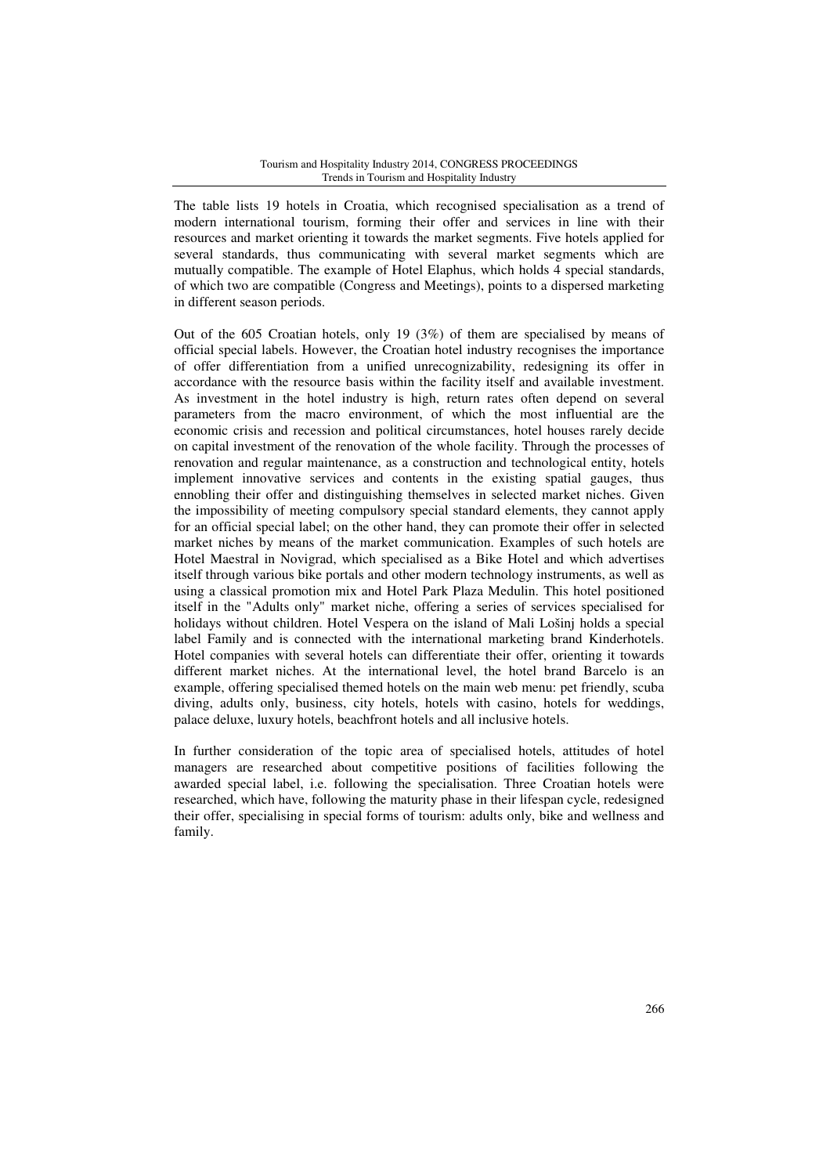The table lists 19 hotels in Croatia, which recognised specialisation as a trend of modern international tourism, forming their offer and services in line with their resources and market orienting it towards the market segments. Five hotels applied for several standards, thus communicating with several market segments which are mutually compatible. The example of Hotel Elaphus, which holds 4 special standards, of which two are compatible (Congress and Meetings), points to a dispersed marketing in different season periods.

Out of the 605 Croatian hotels, only 19 (3%) of them are specialised by means of official special labels. However, the Croatian hotel industry recognises the importance of offer differentiation from a unified unrecognizability, redesigning its offer in accordance with the resource basis within the facility itself and available investment. As investment in the hotel industry is high, return rates often depend on several parameters from the macro environment, of which the most influential are the economic crisis and recession and political circumstances, hotel houses rarely decide on capital investment of the renovation of the whole facility. Through the processes of renovation and regular maintenance, as a construction and technological entity, hotels implement innovative services and contents in the existing spatial gauges, thus ennobling their offer and distinguishing themselves in selected market niches. Given the impossibility of meeting compulsory special standard elements, they cannot apply for an official special label; on the other hand, they can promote their offer in selected market niches by means of the market communication. Examples of such hotels are Hotel Maestral in Novigrad, which specialised as a Bike Hotel and which advertises itself through various bike portals and other modern technology instruments, as well as using a classical promotion mix and Hotel Park Plaza Medulin. This hotel positioned itself in the "Adults only" market niche, offering a series of services specialised for holidays without children. Hotel Vespera on the island of Mali Lošinj holds a special label Family and is connected with the international marketing brand Kinderhotels. Hotel companies with several hotels can differentiate their offer, orienting it towards different market niches. At the international level, the hotel brand Barcelo is an example, offering specialised themed hotels on the main web menu: pet friendly, scuba diving, adults only, business, city hotels, hotels with casino, hotels for weddings, palace deluxe, luxury hotels, beachfront hotels and all inclusive hotels.

In further consideration of the topic area of specialised hotels, attitudes of hotel managers are researched about competitive positions of facilities following the awarded special label, i.e. following the specialisation. Three Croatian hotels were researched, which have, following the maturity phase in their lifespan cycle, redesigned their offer, specialising in special forms of tourism: adults only, bike and wellness and family.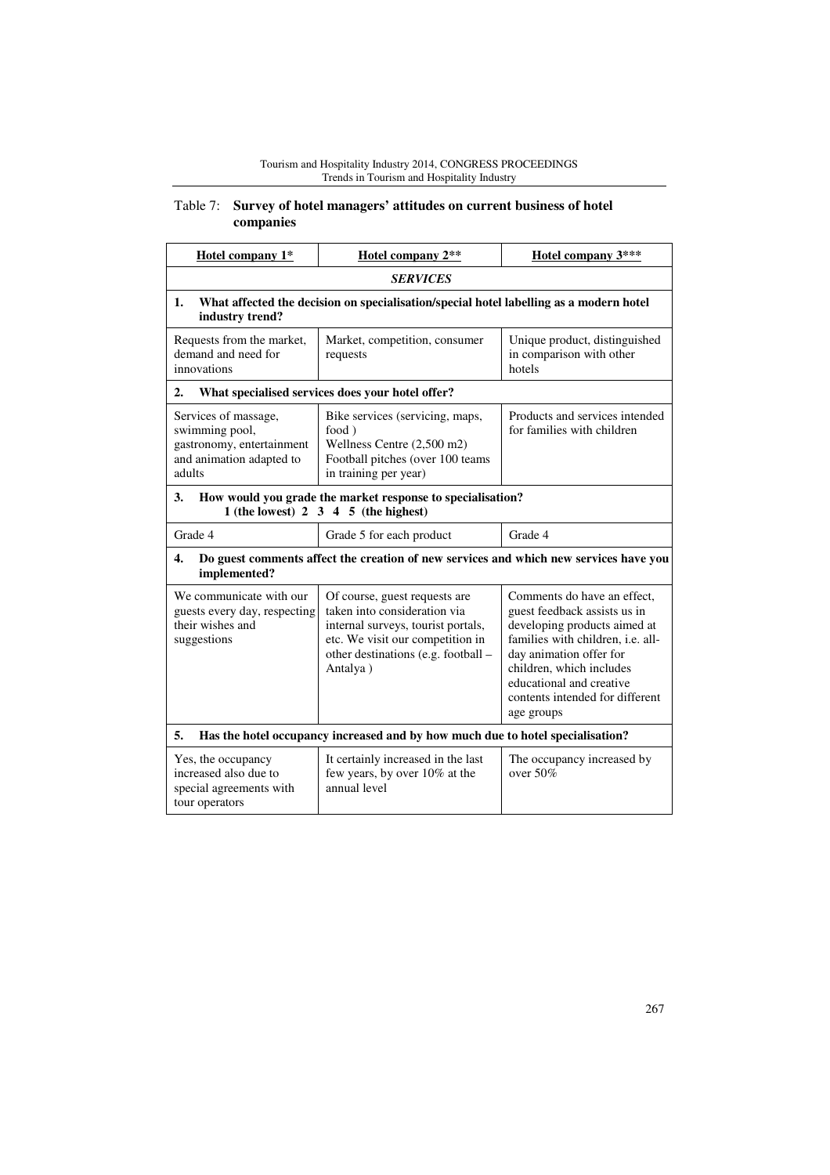# Table 7: **Survey of hotel managers' attitudes on current business of hotel companies**

| Hotel company 1*                                                                                          | Hotel company 2**                                                                                                                                                                          | Hotel company 3***                                                                                                                                                                                                                                                   |  |  |  |
|-----------------------------------------------------------------------------------------------------------|--------------------------------------------------------------------------------------------------------------------------------------------------------------------------------------------|----------------------------------------------------------------------------------------------------------------------------------------------------------------------------------------------------------------------------------------------------------------------|--|--|--|
|                                                                                                           | <b>SERVICES</b>                                                                                                                                                                            |                                                                                                                                                                                                                                                                      |  |  |  |
| 1.<br>industry trend?                                                                                     | What affected the decision on specialisation/special hotel labelling as a modern hotel                                                                                                     |                                                                                                                                                                                                                                                                      |  |  |  |
| Requests from the market,<br>demand and need for<br>innovations                                           | Market, competition, consumer<br>requests                                                                                                                                                  | Unique product, distinguished<br>in comparison with other<br>hotels                                                                                                                                                                                                  |  |  |  |
| 2.                                                                                                        | What specialised services does your hotel offer?                                                                                                                                           |                                                                                                                                                                                                                                                                      |  |  |  |
| Services of massage,<br>swimming pool,<br>gastronomy, entertainment<br>and animation adapted to<br>adults | Bike services (servicing, maps,<br>food)<br>Wellness Centre (2,500 m2)<br>Football pitches (over 100 teams<br>in training per year)                                                        | Products and services intended<br>for families with children                                                                                                                                                                                                         |  |  |  |
| 3.                                                                                                        | How would you grade the market response to specialisation?<br>1 (the lowest) $2 \times 3 \times 4 \times 5$ (the highest)                                                                  |                                                                                                                                                                                                                                                                      |  |  |  |
| Grade 4                                                                                                   | Grade 5 for each product                                                                                                                                                                   | Grade 4                                                                                                                                                                                                                                                              |  |  |  |
| 4.<br>implemented?                                                                                        | Do guest comments affect the creation of new services and which new services have you                                                                                                      |                                                                                                                                                                                                                                                                      |  |  |  |
| We communicate with our<br>guests every day, respecting<br>their wishes and<br>suggestions                | Of course, guest requests are<br>taken into consideration via<br>internal surveys, tourist portals,<br>etc. We visit our competition in<br>other destinations (e.g. football -<br>Antalya) | Comments do have an effect,<br>guest feedback assists us in<br>developing products aimed at<br>families with children, i.e. all-<br>day animation offer for<br>children, which includes<br>educational and creative<br>contents intended for different<br>age groups |  |  |  |
| 5.                                                                                                        | Has the hotel occupancy increased and by how much due to hotel specialisation?                                                                                                             |                                                                                                                                                                                                                                                                      |  |  |  |
| Yes, the occupancy<br>increased also due to<br>special agreements with<br>tour operators                  | It certainly increased in the last<br>few years, by over 10% at the<br>annual level                                                                                                        | The occupancy increased by<br>over $50\%$                                                                                                                                                                                                                            |  |  |  |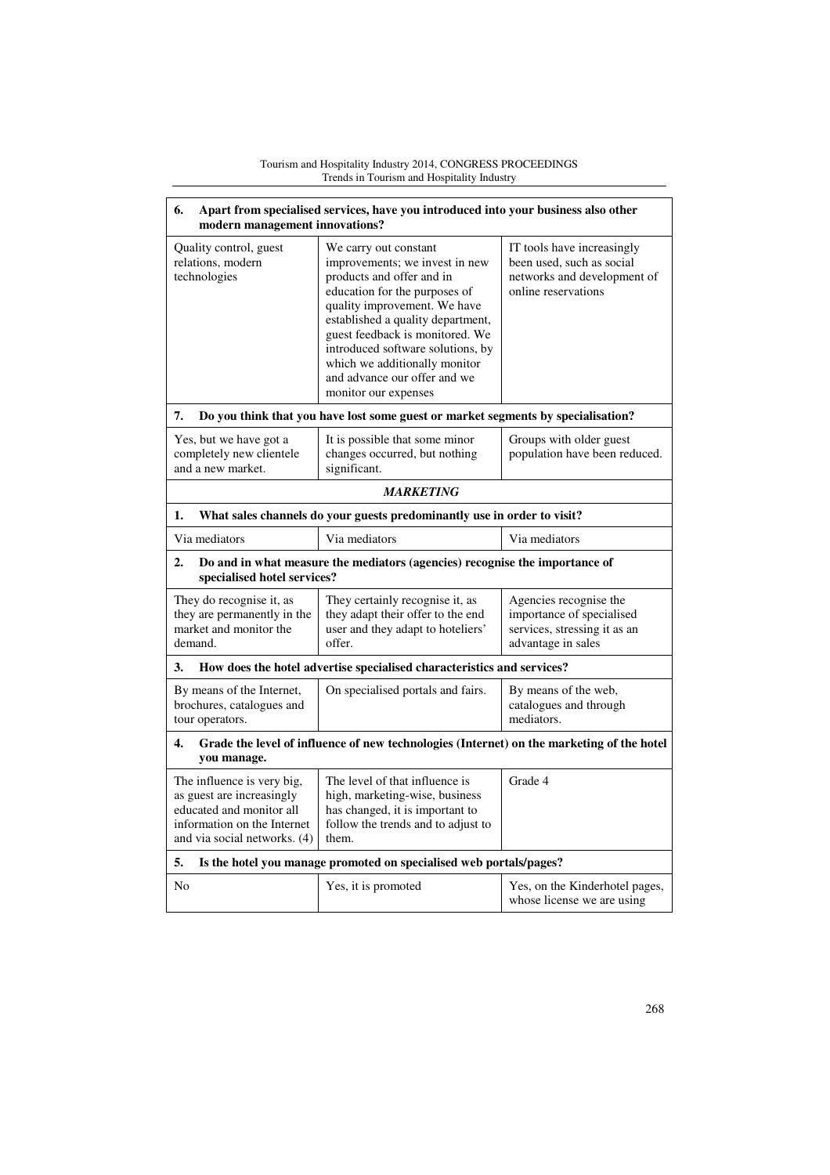| 6.<br>Apart from specialised services, have you introduced into your business also other<br>modern management innovations?                         |                                                                                                                                                                                                                                                                                                                                                             |                                                                                                               |  |
|----------------------------------------------------------------------------------------------------------------------------------------------------|-------------------------------------------------------------------------------------------------------------------------------------------------------------------------------------------------------------------------------------------------------------------------------------------------------------------------------------------------------------|---------------------------------------------------------------------------------------------------------------|--|
| Quality control, guest<br>relations, modern<br>technologies                                                                                        | We carry out constant<br>improvements; we invest in new<br>products and offer and in<br>education for the purposes of<br>quality improvement. We have<br>established a quality department,<br>guest feedback is monitored. We<br>introduced software solutions, by<br>which we additionally monitor<br>and advance our offer and we<br>monitor our expenses | IT tools have increasingly<br>been used, such as social<br>networks and development of<br>online reservations |  |
| 7.                                                                                                                                                 | Do you think that you have lost some guest or market segments by specialisation?                                                                                                                                                                                                                                                                            |                                                                                                               |  |
| Yes, but we have got a<br>completely new clientele<br>and a new market.                                                                            | It is possible that some minor<br>changes occurred, but nothing<br>significant.                                                                                                                                                                                                                                                                             | Groups with older guest<br>population have been reduced.                                                      |  |
|                                                                                                                                                    | <b>MARKETING</b>                                                                                                                                                                                                                                                                                                                                            |                                                                                                               |  |
| 1.                                                                                                                                                 | What sales channels do your guests predominantly use in order to visit?                                                                                                                                                                                                                                                                                     |                                                                                                               |  |
| Via mediators                                                                                                                                      | Via mediators                                                                                                                                                                                                                                                                                                                                               | Via mediators                                                                                                 |  |
| $\overline{2}$ .<br>specialised hotel services?                                                                                                    | Do and in what measure the mediators (agencies) recognise the importance of                                                                                                                                                                                                                                                                                 |                                                                                                               |  |
| They do recognise it, as<br>they are permanently in the<br>market and monitor the<br>demand.                                                       | They certainly recognise it, as<br>they adapt their offer to the end<br>user and they adapt to hoteliers'<br>offer.                                                                                                                                                                                                                                         | Agencies recognise the<br>importance of specialised<br>services, stressing it as an<br>advantage in sales     |  |
| 3.                                                                                                                                                 | How does the hotel advertise specialised characteristics and services?                                                                                                                                                                                                                                                                                      |                                                                                                               |  |
| By means of the Internet,<br>brochures, catalogues and<br>tour operators.                                                                          | On specialised portals and fairs.                                                                                                                                                                                                                                                                                                                           | By means of the web,<br>catalogues and through<br>mediators.                                                  |  |
| 4.<br>you manage.                                                                                                                                  | Grade the level of influence of new technologies (Internet) on the marketing of the hotel                                                                                                                                                                                                                                                                   |                                                                                                               |  |
| The influence is very big,<br>as guest are increasingly<br>educated and monitor all<br>information on the Internet<br>and via social networks. (4) | The level of that influence is<br>high, marketing-wise, business<br>has changed, it is important to<br>follow the trends and to adjust to<br>them.                                                                                                                                                                                                          | Grade 4                                                                                                       |  |
| 5.                                                                                                                                                 | Is the hotel you manage promoted on specialised web portals/pages?                                                                                                                                                                                                                                                                                          |                                                                                                               |  |
| N <sub>0</sub>                                                                                                                                     | Yes, it is promoted                                                                                                                                                                                                                                                                                                                                         | Yes, on the Kinderhotel pages,<br>whose license we are using                                                  |  |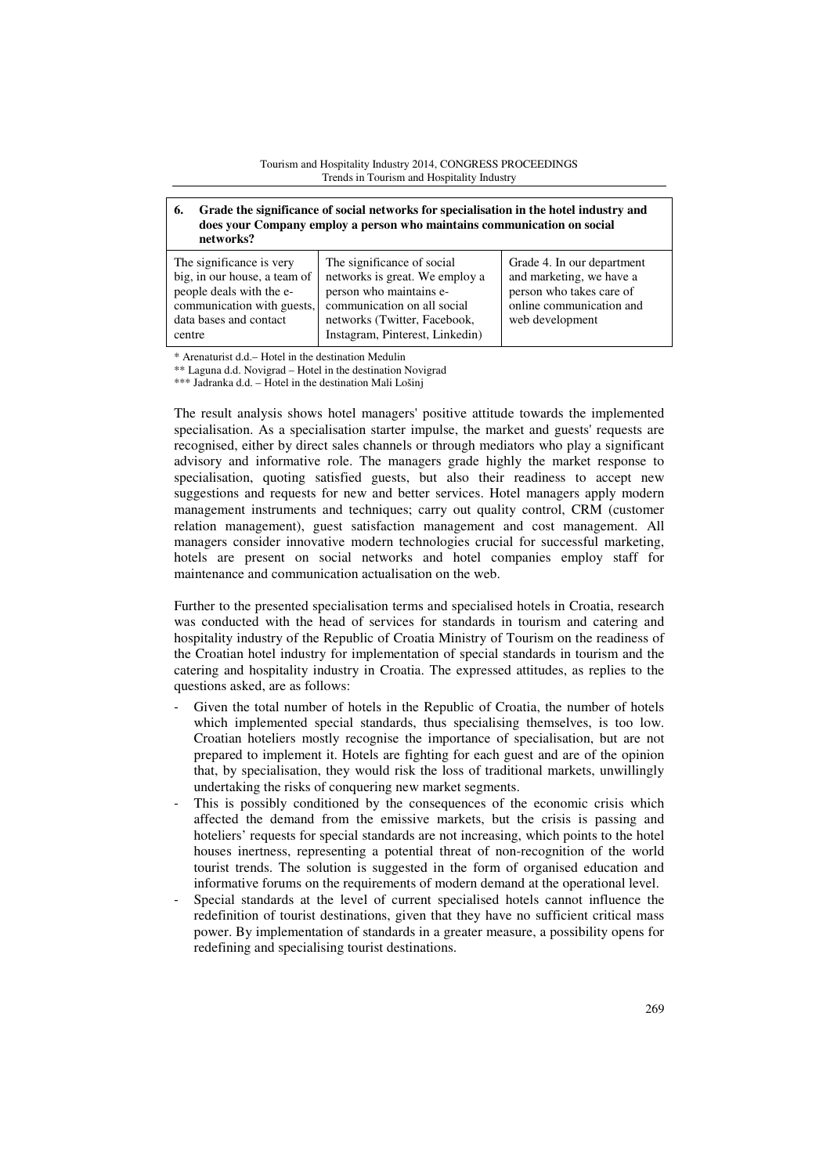# **6. Grade the significance of social networks for specialisation in the hotel industry and does your Company employ a person who maintains communication on social networks?**

| The significance is very<br>big, in our house, a team of<br>people deals with the e-<br>communication with guests,<br>data bases and contact | The significance of social<br>networks is great. We employ a<br>person who maintains e-<br>communication on all social<br>networks (Twitter, Facebook, | Grade 4. In our department<br>and marketing, we have a<br>person who takes care of<br>online communication and<br>web development |
|----------------------------------------------------------------------------------------------------------------------------------------------|--------------------------------------------------------------------------------------------------------------------------------------------------------|-----------------------------------------------------------------------------------------------------------------------------------|
|                                                                                                                                              |                                                                                                                                                        |                                                                                                                                   |
| centre                                                                                                                                       | Instagram, Pinterest, Linkedin)                                                                                                                        |                                                                                                                                   |

\* Arenaturist d.d.– Hotel in the destination Medulin

\*\* Laguna d.d. Novigrad – Hotel in the destination Novigrad

\*\*\* Jadranka d.d. – Hotel in the destination Mali Lošinj

The result analysis shows hotel managers' positive attitude towards the implemented specialisation. As a specialisation starter impulse, the market and guests' requests are recognised, either by direct sales channels or through mediators who play a significant advisory and informative role. The managers grade highly the market response to specialisation, quoting satisfied guests, but also their readiness to accept new suggestions and requests for new and better services. Hotel managers apply modern management instruments and techniques; carry out quality control, CRM (customer relation management), guest satisfaction management and cost management. All managers consider innovative modern technologies crucial for successful marketing, hotels are present on social networks and hotel companies employ staff for maintenance and communication actualisation on the web.

Further to the presented specialisation terms and specialised hotels in Croatia, research was conducted with the head of services for standards in tourism and catering and hospitality industry of the Republic of Croatia Ministry of Tourism on the readiness of the Croatian hotel industry for implementation of special standards in tourism and the catering and hospitality industry in Croatia. The expressed attitudes, as replies to the questions asked, are as follows:

- Given the total number of hotels in the Republic of Croatia, the number of hotels which implemented special standards, thus specialising themselves, is too low. Croatian hoteliers mostly recognise the importance of specialisation, but are not prepared to implement it. Hotels are fighting for each guest and are of the opinion that, by specialisation, they would risk the loss of traditional markets, unwillingly undertaking the risks of conquering new market segments.
- This is possibly conditioned by the consequences of the economic crisis which affected the demand from the emissive markets, but the crisis is passing and hoteliers' requests for special standards are not increasing, which points to the hotel houses inertness, representing a potential threat of non-recognition of the world tourist trends. The solution is suggested in the form of organised education and informative forums on the requirements of modern demand at the operational level.
- Special standards at the level of current specialised hotels cannot influence the redefinition of tourist destinations, given that they have no sufficient critical mass power. By implementation of standards in a greater measure, a possibility opens for redefining and specialising tourist destinations.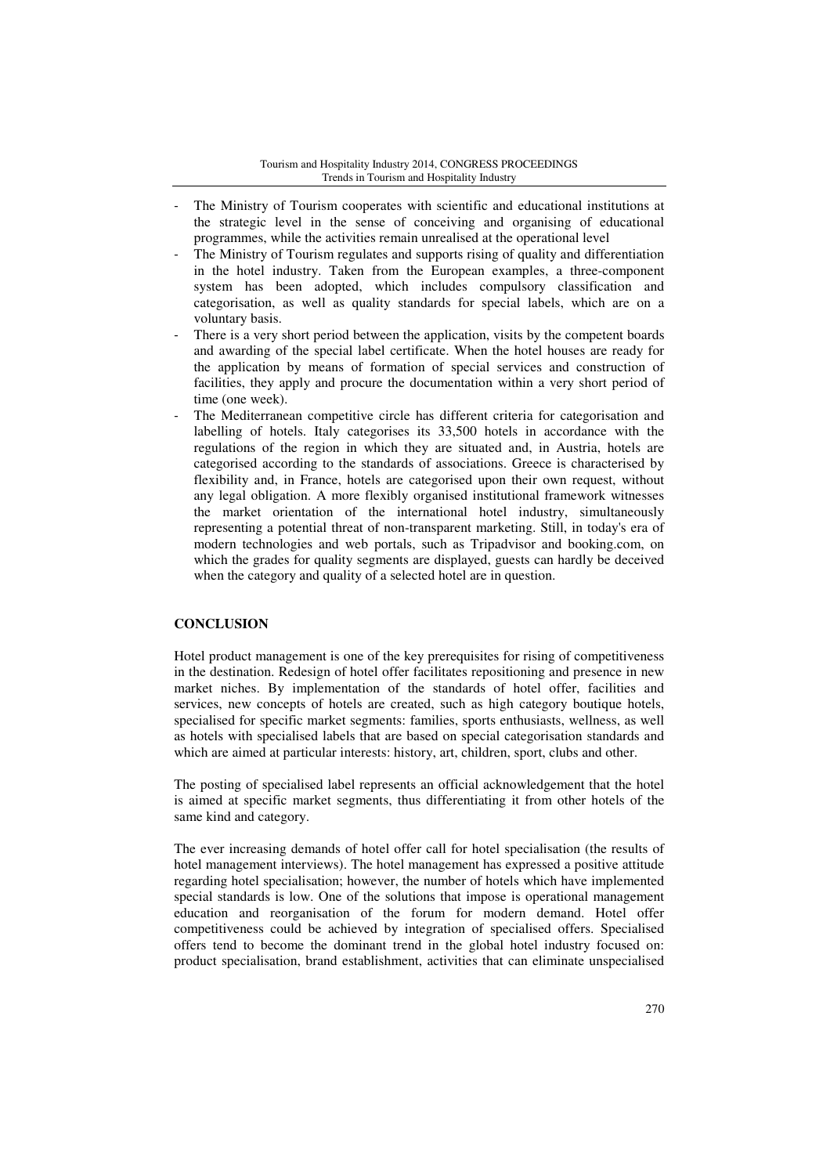- The Ministry of Tourism cooperates with scientific and educational institutions at the strategic level in the sense of conceiving and organising of educational programmes, while the activities remain unrealised at the operational level
- The Ministry of Tourism regulates and supports rising of quality and differentiation in the hotel industry. Taken from the European examples, a three-component system has been adopted, which includes compulsory classification and categorisation, as well as quality standards for special labels, which are on a voluntary basis.
- There is a very short period between the application, visits by the competent boards and awarding of the special label certificate. When the hotel houses are ready for the application by means of formation of special services and construction of facilities, they apply and procure the documentation within a very short period of time (one week).
- The Mediterranean competitive circle has different criteria for categorisation and labelling of hotels. Italy categorises its 33,500 hotels in accordance with the regulations of the region in which they are situated and, in Austria, hotels are categorised according to the standards of associations. Greece is characterised by flexibility and, in France, hotels are categorised upon their own request, without any legal obligation. A more flexibly organised institutional framework witnesses the market orientation of the international hotel industry, simultaneously representing a potential threat of non-transparent marketing. Still, in today's era of modern technologies and web portals, such as Tripadvisor and booking.com, on which the grades for quality segments are displayed, guests can hardly be deceived when the category and quality of a selected hotel are in question.

# **CONCLUSION**

Hotel product management is one of the key prerequisites for rising of competitiveness in the destination. Redesign of hotel offer facilitates repositioning and presence in new market niches. By implementation of the standards of hotel offer, facilities and services, new concepts of hotels are created, such as high category boutique hotels, specialised for specific market segments: families, sports enthusiasts, wellness, as well as hotels with specialised labels that are based on special categorisation standards and which are aimed at particular interests: history, art, children, sport, clubs and other.

The posting of specialised label represents an official acknowledgement that the hotel is aimed at specific market segments, thus differentiating it from other hotels of the same kind and category.

The ever increasing demands of hotel offer call for hotel specialisation (the results of hotel management interviews). The hotel management has expressed a positive attitude regarding hotel specialisation; however, the number of hotels which have implemented special standards is low. One of the solutions that impose is operational management education and reorganisation of the forum for modern demand. Hotel offer competitiveness could be achieved by integration of specialised offers. Specialised offers tend to become the dominant trend in the global hotel industry focused on: product specialisation, brand establishment, activities that can eliminate unspecialised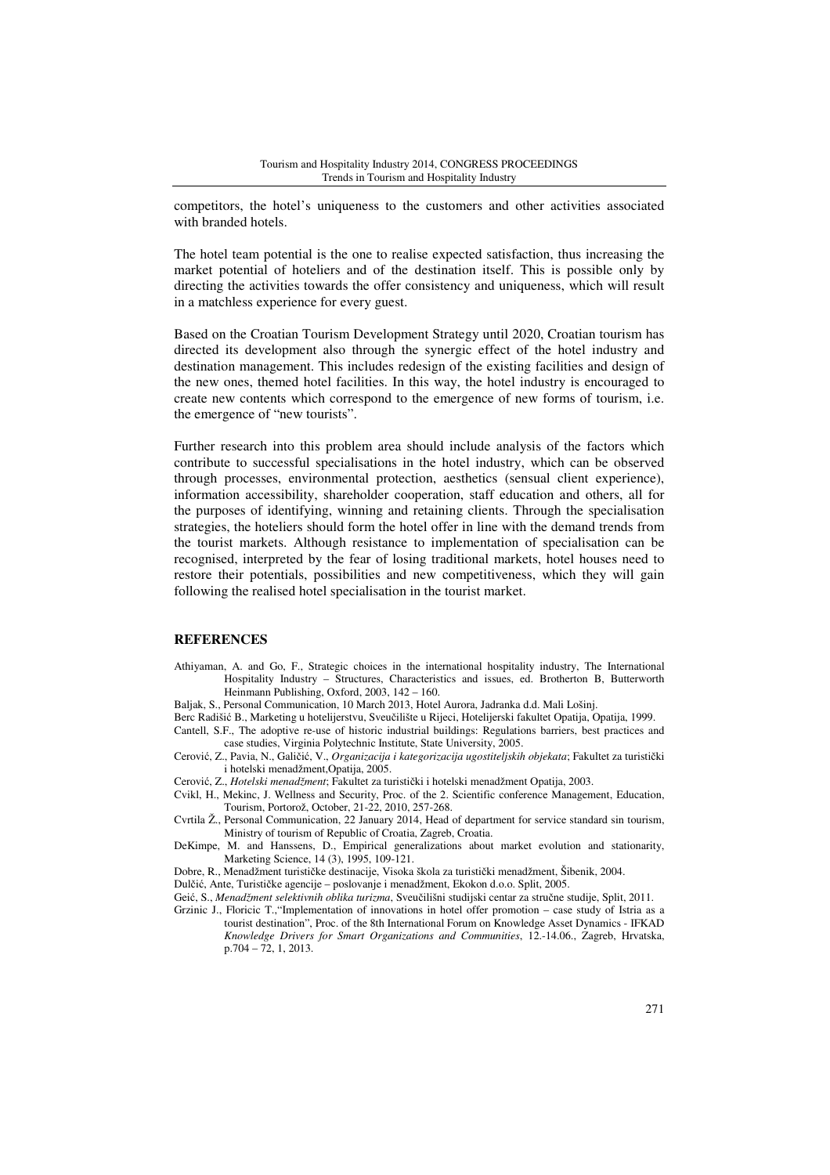competitors, the hotel's uniqueness to the customers and other activities associated with branded hotels.

The hotel team potential is the one to realise expected satisfaction, thus increasing the market potential of hoteliers and of the destination itself. This is possible only by directing the activities towards the offer consistency and uniqueness, which will result in a matchless experience for every guest.

Based on the Croatian Tourism Development Strategy until 2020, Croatian tourism has directed its development also through the synergic effect of the hotel industry and destination management. This includes redesign of the existing facilities and design of the new ones, themed hotel facilities. In this way, the hotel industry is encouraged to create new contents which correspond to the emergence of new forms of tourism, i.e. the emergence of "new tourists".

Further research into this problem area should include analysis of the factors which contribute to successful specialisations in the hotel industry, which can be observed through processes, environmental protection, aesthetics (sensual client experience), information accessibility, shareholder cooperation, staff education and others, all for the purposes of identifying, winning and retaining clients. Through the specialisation strategies, the hoteliers should form the hotel offer in line with the demand trends from the tourist markets. Although resistance to implementation of specialisation can be recognised, interpreted by the fear of losing traditional markets, hotel houses need to restore their potentials, possibilities and new competitiveness, which they will gain following the realised hotel specialisation in the tourist market.

# **REFERENCES**

- Athiyaman, A. and Go, F., Strategic choices in the international hospitality industry, The International Hospitality Industry – Structures, Characteristics and issues, ed. Brotherton B, Butterworth Heinmann Publishing, Oxford, 2003, 142 – 160.
- Baljak, S., Personal Communication, 10 March 2013, Hotel Aurora, Jadranka d.d. Mali Lošinj.
- Berc Radišić B., Marketing u hotelijerstvu, Sveučilište u Rijeci, Hotelijerski fakultet Opatija, Opatija, 1999. Cantell, S.F., The adoptive re-use of historic industrial buildings: Regulations barriers, best practices and
- case studies, Virginia Polytechnic Institute, State University, 2005. Cerović, Z., Pavia, N., Galičić, V., *Organizacija i kategorizacija ugostiteljskih objekata*; Fakultet za turistički
- i hotelski menadžment,Opatija, 2005.
- Cerović, Z., *Hotelski menadžment*; Fakultet za turistički i hotelski menadžment Opatija, 2003.
- Cvikl, H., Mekinc, J. Wellness and Security, Proc. of the 2. Scientific conference Management, Education,
- Tourism, Portorož, October, 21-22, 2010, 257-268.
- Cvrtila Ž., Personal Communication, 22 January 2014, Head of department for service standard sin tourism, Ministry of tourism of Republic of Croatia, Zagreb, Croatia.
- DeKimpe, M. and Hanssens, D., Empirical generalizations about market evolution and stationarity, Marketing Science, 14 (3), 1995, 109-121.

Dobre, R., Menadžment turističke destinacije, Visoka škola za turistički menadžment, Šibenik, 2004.

Dulčić, Ante, Turističke agencije – poslovanje i menadžment, Ekokon d.o.o. Split, 2005.

Geić, S., *Menadžment selektivnih oblika turizma*, Sveučilišni studijski centar za stručne studije, Split, 2011.

Grzinic J., Floricic T.,"Implementation of innovations in hotel offer promotion – case study of Istria as a tourist destination", Proc. of the 8th International Forum on Knowledge Asset Dynamics - IFKAD *Knowledge Drivers for Smart Organizations and Communities*, 12.-14.06., Zagreb, Hrvatska, p.704 – 72, 1, 2013.